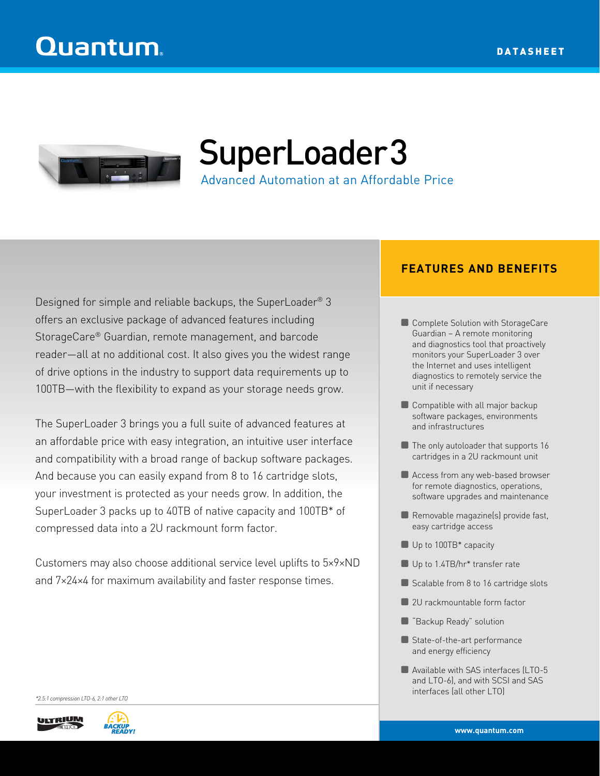

SuperLoader3

Advanced Automation at an Affordable Price

Designed for simple and reliable backups, the SuperLoader® 3 offers an exclusive package of advanced features including StorageCare® Guardian, remote management, and barcode reader—all at no additional cost. It also gives you the widest range of drive options in the industry to support data requirements up to 100TB—with the flexibility to expand as your storage needs grow.

The SuperLoader 3 brings you a full suite of advanced features at an affordable price with easy integration, an intuitive user interface and compatibility with a broad range of backup software packages. And because you can easily expand from 8 to 16 cartridge slots, your investment is protected as your needs grow. In addition, the SuperLoader 3 packs up to 40TB of native capacity and 100TB\* of compressed data into a 2U rackmount form factor.

Customers may also choose additional service level uplifts to 5×9×ND and 7×24×4 for maximum availability and faster response times.

## **FEATURES AND BENEFITS**

- Complete Solution with StorageCare Guardian – A remote monitoring and diagnostics tool that proactively monitors your SuperLoader 3 over the Internet and uses intelligent diagnostics to remotely service the unit if necessary
- **Compatible with all major backup** software packages, environments and infrastructures
- The only autoloader that supports 16 cartridges in a 2U rackmount unit
- Access from any web-based browser for remote diagnostics, operations, software upgrades and maintenance
- Removable magazine(s) provide fast, easy cartridge access
- Up to 100TB\* capacity
- Up to 1.4TB/hr\* transfer rate
- Scalable from 8 to 16 cartridge slots
- 2U rackmountable form factor
- "Backup Ready" solution
- ~ State-of-the-art performance and energy efficiency
- ~ Available with SAS interfaces (LTO-5 and LTO-6), and with SCSI and SAS interfaces (all other LTO)

*\*2.5:1 compression LTO-6, 2:1 other LTO*